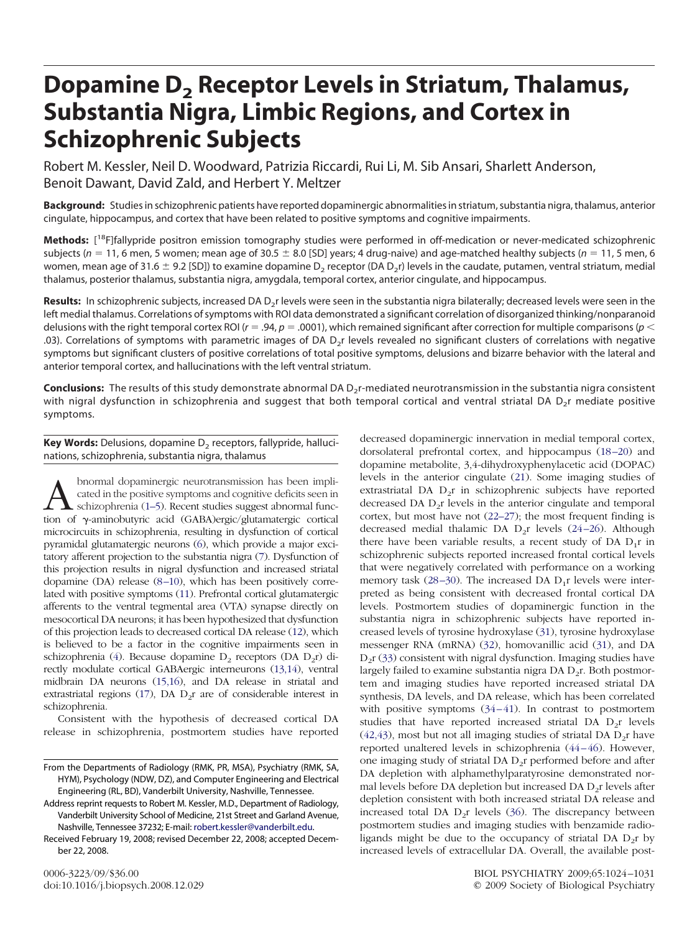# **Dopamine D2 Receptor Levels in Striatum, Thalamus, Substantia Nigra, Limbic Regions, and Cortex in Schizophrenic Subjects**

Robert M. Kessler, Neil D. Woodward, Patrizia Riccardi, Rui Li, M. Sib Ansari, Sharlett Anderson, Benoit Dawant, David Zald, and Herbert Y. Meltzer

**Background:** Studies in schizophrenic patients have reported dopaminergic abnormalities in striatum, substantia nigra, thalamus, anterior cingulate, hippocampus, and cortex that have been related to positive symptoms and cognitive impairments.

**Methods:** [ 18F]fallypride positron emission tomography studies were performed in off-medication or never-medicated schizophrenic subjects ( $n = 11$ , 6 men, 5 women; mean age of 30.5  $\pm$  8.0 [SD] years; 4 drug-naive) and age-matched healthy subjects ( $n = 11$ , 5 men, 6 women, mean age of 31.6  $\pm$  9.2 [SD]) to examine dopamine D<sub>2</sub> receptor (DA D<sub>2</sub>r) levels in the caudate, putamen, ventral striatum, medial thalamus, posterior thalamus, substantia nigra, amygdala, temporal cortex, anterior cingulate, and hippocampus.

Results: In schizophrenic subjects, increased DA D<sub>2</sub>r levels were seen in the substantia nigra bilaterally; decreased levels were seen in the left medial thalamus. Correlations of symptoms with ROI data demonstrated a significant correlation of disorganized thinking/nonparanoid delusions with the right temporal cortex ROI ( $r = .94$ ,  $p = .0001$ ), which remained significant after correction for multiple comparisons ( $p <$ .03). Correlations of symptoms with parametric images of DA D<sub>2</sub>r levels revealed no significant clusters of correlations with negative symptoms but significant clusters of positive correlations of total positive symptoms, delusions and bizarre behavior with the lateral and anterior temporal cortex, and hallucinations with the left ventral striatum.

Conclusions: The results of this study demonstrate abnormal DA D<sub>2</sub>r-mediated neurotransmission in the substantia nigra consistent with nigral dysfunction in schizophrenia and suggest that both temporal cortical and ventral striatal DA D<sub>2</sub>r mediate positive symptoms.

**Key Words:** Delusions, dopamine D<sub>2</sub> receptors, fallypride, hallucinations, schizophrenia, substantia nigra, thalamus

 $A \qquad \qquad \textrm{binormal dopaminergic neurotransmission has been implicitized in the positive symptoms and cognitive deficits seen in schizophrenia (1–5). Recent studies suggest abnormal function of γ-aminobutyric acid (GABA)ergic/glutamatergic cortical.$ cated in the positive symptoms and cognitive deficits seen in schizophrenia (1–5). Recent studies suggest abnormal funcmicrocircuits in schizophrenia, resulting in dysfunction of cortical pyramidal glutamatergic neurons [\(6\)](#page-5-0), which provide a major excitatory afferent projection to the substantia nigra [\(7\)](#page-5-0). Dysfunction of this projection results in nigral dysfunction and increased striatal dopamine  $(DA)$  release  $(8-10)$ , which has been positively correlated with positive symptoms [\(11\)](#page-5-0). Prefrontal cortical glutamatergic afferents to the ventral tegmental area (VTA) synapse directly on mesocortical DA neurons; it has been hypothesized that dysfunction of this projection leads to decreased cortical DA release [\(12\)](#page-5-0), which is believed to be a factor in the cognitive impairments seen in schizophrenia [\(4\)](#page-5-0). Because dopamine  $D_2$  receptors (DA  $D_2r$ ) directly modulate cortical GABAergic interneurons [\(13,14\)](#page-5-0), ventral midbrain DA neurons [\(15,16\)](#page-5-0), and DA release in striatal and extrastriatal regions [\(17\)](#page-5-0), DA  $D_2r$  are of considerable interest in schizophrenia.

Consistent with the hypothesis of decreased cortical DA release in schizophrenia, postmortem studies have reported

Address reprint requests to Robert M. Kessler, M.D., Department of Radiology, Vanderbilt University School of Medicine, 21st Street and Garland Avenue, Nashville, Tennessee 37232; E-mail: [robert.kessler@vanderbilt.edu.](mailto:robert.kessler@vanderbilt.edu)

Received February 19, 2008; revised December 22, 2008; accepted December 22, 2008.

decreased dopaminergic innervation in medial temporal cortex, dorsolateral prefrontal cortex, and hippocampus (18-20) and dopamine metabolite, 3,4-dihydroxyphenylacetic acid (DOPAC) levels in the anterior cingulate [\(21\)](#page-5-0). Some imaging studies of extrastriatal DA  $D_2r$  in schizophrenic subjects have reported decreased DA  $D_2r$  levels in the anterior cingulate and temporal cortex, but most have not [\(22–27\)](#page-5-0); the most frequent finding is decreased medial thalamic DA  $D_2r$  levels (24-26). Although there have been variable results, a recent study of DA  $D_1r$  in schizophrenic subjects reported increased frontal cortical levels that were negatively correlated with performance on a working memory task  $(28-30)$ . The increased DA  $D_1r$  levels were interpreted as being consistent with decreased frontal cortical DA levels. Postmortem studies of dopaminergic function in the substantia nigra in schizophrenic subjects have reported increased levels of tyrosine hydroxylase [\(31\)](#page-6-0), tyrosine hydroxylase messenger RNA (mRNA) [\(32\)](#page-6-0), homovanillic acid [\(31\)](#page-6-0), and DA  $D_2r$  [\(33\)](#page-6-0) consistent with nigral dysfunction. Imaging studies have largely failed to examine substantia nigra  $DA D_2r$ . Both postmortem and imaging studies have reported increased striatal DA synthesis, DA levels, and DA release, which has been correlated with positive symptoms  $(34-41)$ . In contrast to postmortem studies that have reported increased striatal DA  $D_2r$  levels  $(42, 43)$ , most but not all imaging studies of striatal DA  $D_2r$  have reported unaltered levels in schizophrenia [\(44 – 46\)](#page-6-0). However, one imaging study of striatal DA  $D_2r$  performed before and after DA depletion with alphamethylparatyrosine demonstrated normal levels before DA depletion but increased DA  $D_2r$  levels after depletion consistent with both increased striatal DA release and increased total DA  $D_2r$  levels [\(36\)](#page-6-0). The discrepancy between postmortem studies and imaging studies with benzamide radioligands might be due to the occupancy of striatal DA  $D_2r$  by increased levels of extracellular DA. Overall, the available post-

From the Departments of Radiology (RMK, PR, MSA), Psychiatry (RMK, SA, HYM), Psychology (NDW, DZ), and Computer Engineering and Electrical Engineering (RL, BD), Vanderbilt University, Nashville, Tennessee.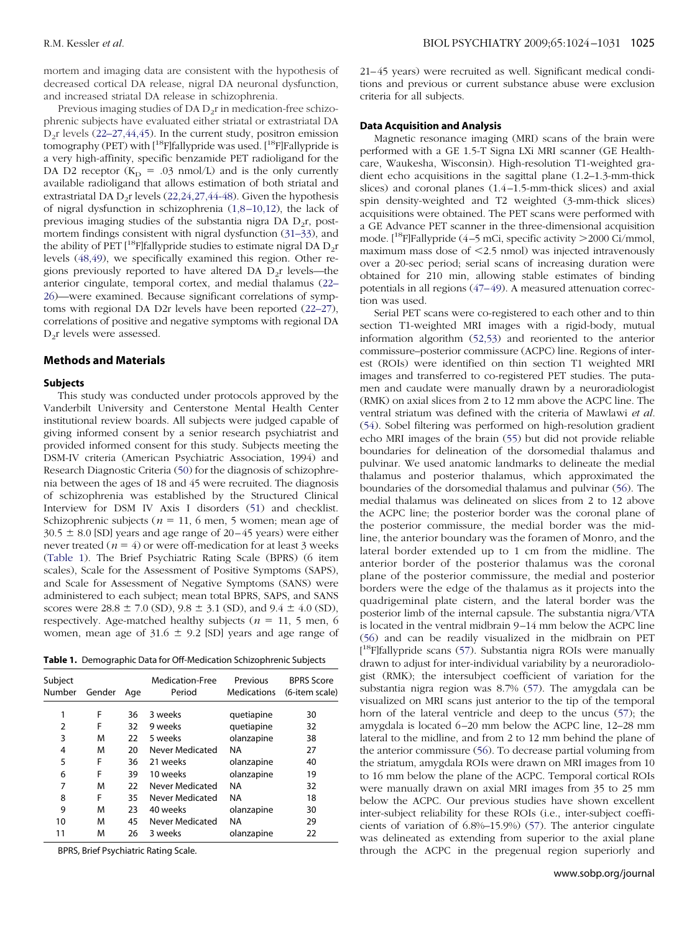mortem and imaging data are consistent with the hypothesis of decreased cortical DA release, nigral DA neuronal dysfunction, and increased striatal DA release in schizophrenia.

Previous imaging studies of  $DA D<sub>2</sub>r$  in medication-free schizophrenic subjects have evaluated either striatal or extrastriatal DA  $D_2r$  levels [\(22–27,44,45\)](#page-5-0). In the current study, positron emission tomography (PET) with  $[$ <sup>18</sup>F $]$ fallypride was used.  $[$ <sup>18</sup>F $]$ Fallypride is a very high-affinity, specific benzamide PET radioligand for the DA D2 receptor  $(K_D = .03 \text{ nmol/L})$  and is the only currently available radioligand that allows estimation of both striatal and extrastriatal DA  $D_2r$  levels [\(22,24,27,44-48\)](#page-5-0). Given the hypothesis of nigral dysfunction in schizophrenia [\(1,8 –10,12\)](#page-5-0), the lack of previous imaging studies of the substantia nigra DA  $D_2r$ , postmortem findings consistent with nigral dysfunction [\(31–33\)](#page-6-0), and the ability of PET  $[$ <sup>18</sup>F]fallypride studies to estimate nigral DA  $D_2r$ levels [\(48,49\)](#page-6-0), we specifically examined this region. Other regions previously reported to have altered DA  $D_2r$  levels—the anterior cingulate, temporal cortex, and medial thalamus [\(22–](#page-5-0) [26\)](#page-5-0)—were examined. Because significant correlations of symptoms with regional DA D2r levels have been reported [\(22–27\)](#page-5-0), correlations of positive and negative symptoms with regional DA D2r levels were assessed.

## **Methods and Materials**

#### **Subjects**

This study was conducted under protocols approved by the Vanderbilt University and Centerstone Mental Health Center institutional review boards. All subjects were judged capable of giving informed consent by a senior research psychiatrist and provided informed consent for this study. Subjects meeting the DSM-IV criteria (American Psychiatric Association, 1994) and Research Diagnostic Criteria [\(50\)](#page-6-0) for the diagnosis of schizophrenia between the ages of 18 and 45 were recruited. The diagnosis of schizophrenia was established by the Structured Clinical Interview for DSM IV Axis I disorders [\(51\)](#page-6-0) and checklist. Schizophrenic subjects ( $n = 11$ , 6 men, 5 women; mean age of  $30.5 \pm 8.0$  [SD] years and age range of 20–45 years) were either never treated  $(n = 4)$  or were off-medication for at least 3 weeks (Table 1). The Brief Psychiatric Rating Scale (BPRS) (6 item scales), Scale for the Assessment of Positive Symptoms (SAPS), and Scale for Assessment of Negative Symptoms (SANS) were administered to each subject; mean total BPRS, SAPS, and SANS scores were  $28.8 \pm 7.0$  (SD),  $9.8 \pm 3.1$  (SD), and  $9.4 \pm 4.0$  (SD), respectively. Age-matched healthy subjects ( $n = 11, 5$  men, 6 women, mean age of  $31.6 \pm 9.2$  [SD] years and age range of

**Table 1.** Demographic Data for Off-Medication Schizophrenic Subjects

| (6-item scale)                                                 |
|----------------------------------------------------------------|
|                                                                |
|                                                                |
|                                                                |
|                                                                |
|                                                                |
|                                                                |
|                                                                |
|                                                                |
|                                                                |
|                                                                |
|                                                                |
| 30<br>32<br>38<br>27<br>40<br>19<br>32<br>18<br>30<br>29<br>22 |

BPRS, Brief Psychiatric Rating Scale.

21– 45 years) were recruited as well. Significant medical conditions and previous or current substance abuse were exclusion criteria for all subjects.

#### **Data Acquisition and Analysis**

Magnetic resonance imaging (MRI) scans of the brain were performed with a GE 1.5-T Signa LXi MRI scanner (GE Healthcare, Waukesha, Wisconsin). High-resolution T1-weighted gradient echo acquisitions in the sagittal plane (1.2–1.3-mm-thick slices) and coronal planes (1.4 –1.5-mm-thick slices) and axial spin density-weighted and T2 weighted (3-mm-thick slices) acquisitions were obtained. The PET scans were performed with a GE Advance PET scanner in the three-dimensional acquisition mode.  $[$ <sup>18</sup>F]Fallypride (4–5 mCi, specific activity >2000 Ci/mmol, maximum mass dose of  $\leq$ 2.5 nmol) was injected intravenously over a 20-sec period; serial scans of increasing duration were obtained for 210 min, allowing stable estimates of binding potentials in all regions  $(47-49)$ . A measured attenuation correction was used.

Serial PET scans were co-registered to each other and to thin section T1-weighted MRI images with a rigid-body, mutual information algorithm [\(52,53\)](#page-6-0) and reoriented to the anterior commissure–posterior commissure (ACPC) line. Regions of interest (ROIs) were identified on thin section T1 weighted MRI images and transferred to co-registered PET studies. The putamen and caudate were manually drawn by a neuroradiologist (RMK) on axial slices from 2 to 12 mm above the ACPC line. The ventral striatum was defined with the criteria of Mawlawi *et al.* [\(54\)](#page-6-0). Sobel filtering was performed on high-resolution gradient echo MRI images of the brain [\(55\)](#page-6-0) but did not provide reliable boundaries for delineation of the dorsomedial thalamus and pulvinar. We used anatomic landmarks to delineate the medial thalamus and posterior thalamus, which approximated the boundaries of the dorsomedial thalamus and pulvinar [\(56\)](#page-6-0). The medial thalamus was delineated on slices from 2 to 12 above the ACPC line; the posterior border was the coronal plane of the posterior commissure, the medial border was the midline, the anterior boundary was the foramen of Monro, and the lateral border extended up to 1 cm from the midline. The anterior border of the posterior thalamus was the coronal plane of the posterior commissure, the medial and posterior borders were the edge of the thalamus as it projects into the quadrigeminal plate cistern, and the lateral border was the posterior limb of the internal capsule. The substantia nigra/VTA is located in the ventral midbrain 9 –14 mm below the ACPC line [\(56\)](#page-6-0) and can be readily visualized in the midbrain on PET [<sup>18</sup>F]fallypride scans [\(57\)](#page-6-0). Substantia nigra ROIs were manually drawn to adjust for inter-individual variability by a neuroradiologist (RMK); the intersubject coefficient of variation for the substantia nigra region was 8.7% [\(57\)](#page-6-0). The amygdala can be visualized on MRI scans just anterior to the tip of the temporal horn of the lateral ventricle and deep to the uncus [\(57\)](#page-6-0); the amygdala is located 6 –20 mm below the ACPC line, 12–28 mm lateral to the midline, and from 2 to 12 mm behind the plane of the anterior commissure [\(56\)](#page-6-0). To decrease partial voluming from the striatum, amygdala ROIs were drawn on MRI images from 10 to 16 mm below the plane of the ACPC. Temporal cortical ROIs were manually drawn on axial MRI images from 35 to 25 mm below the ACPC. Our previous studies have shown excellent inter-subject reliability for these ROIs (i.e., inter-subject coefficients of variation of 6.8%–15.9%) [\(57\)](#page-6-0). The anterior cingulate was delineated as extending from superior to the axial plane through the ACPC in the pregenual region superiorly and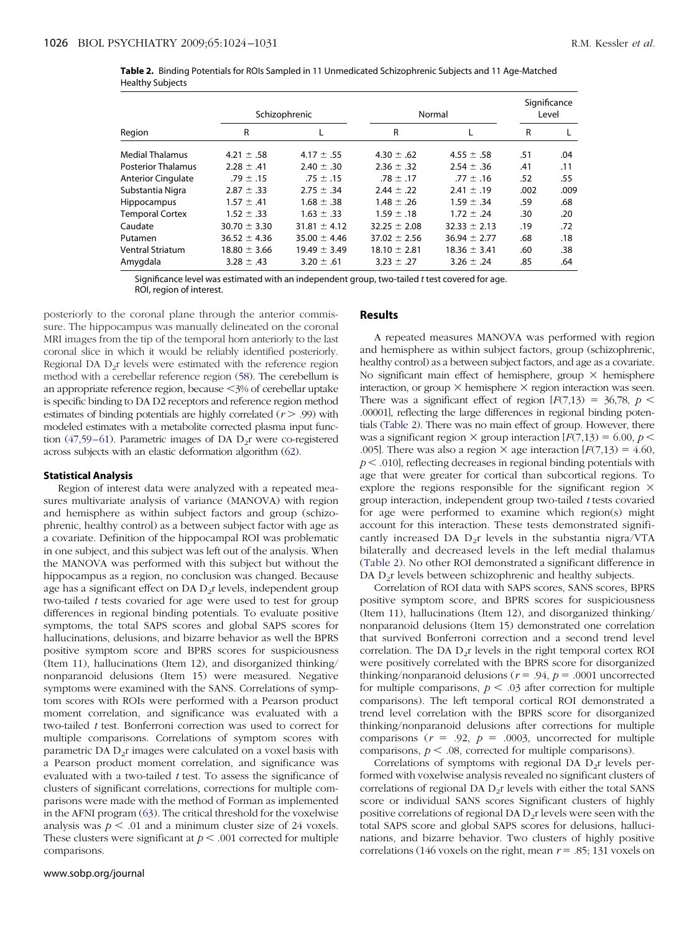|                  | Table 2. Binding Potentials for ROIs Sampled in 11 Unmedicated Schizophrenic Subjects and 11 Age-Matched |  |
|------------------|----------------------------------------------------------------------------------------------------------|--|
| Healthy Subjects |                                                                                                          |  |

|                           | Schizophrenic    |                  | Normal           |                  | Significance<br>Level |      |
|---------------------------|------------------|------------------|------------------|------------------|-----------------------|------|
| Region                    | R                |                  | R                |                  | R                     |      |
| <b>Medial Thalamus</b>    | 4.21 $\pm$ .58   | 4.17 $\pm$ .55   | 4.30 $\pm$ .62   | 4.55 $\pm$ .58   | .51                   | .04  |
| <b>Posterior Thalamus</b> | $2.28 \pm .41$   | $2.40 \pm .30$   | $2.36 \pm .32$   | $2.54 \pm .36$   | .41                   | .11  |
| <b>Anterior Cingulate</b> | .79 $\pm$ .15    | .75 $\pm$ .15    | $.78 \pm .17$    | $.77 \pm .16$    | .52                   | .55  |
| Substantia Nigra          | $2.87 \pm .33$   | $2.75 \pm .34$   | $2.44 \pm .22$   | $2.41 \pm .19$   | .002                  | .009 |
| Hippocampus               | $1.57 \pm .41$   | $1.68 \pm .38$   | $1.48 \pm .26$   | $1.59 \pm .34$   | .59                   | .68  |
| <b>Temporal Cortex</b>    | $1.52 \pm .33$   | $1.63 \pm .33$   | $1.59 \pm .18$   | $1.72 \pm .24$   | .30                   | .20  |
| Caudate                   | $30.70 \pm 3.30$ | $31.81 \pm 4.12$ | $32.25 \pm 2.08$ | $32.33 \pm 2.13$ | .19                   | .72  |
| Putamen                   | $36.52 \pm 4.36$ | $35.00 \pm 4.46$ | $37.02 \pm 2.56$ | $36.94 \pm 2.77$ | .68                   | .18  |
| <b>Ventral Striatum</b>   | $18.80 \pm 3.66$ | $19.49 \pm 3.49$ | $18.10 \pm 2.81$ | $18.36 \pm 3.41$ | .60                   | .38  |
| Amygdala                  | $3.28 \pm .43$   | $3.20 \pm .61$   | $3.23 \pm .27$   | $3.26 \pm .24$   | .85                   | .64  |

Significance level was estimated with an independent group, two-tailed *t* test covered for age. ROI, region of interest.

posteriorly to the coronal plane through the anterior commissure. The hippocampus was manually delineated on the coronal MRI images from the tip of the temporal horn anteriorly to the last coronal slice in which it would be reliably identified posteriorly. Regional DA  $D_2r$  levels were estimated with the reference region method with a cerebellar reference region [\(58\)](#page-6-0). The cerebellum is an appropriate reference region, because <3% of cerebellar uptake is specific binding to DA D2 receptors and reference region method estimates of binding potentials are highly correlated  $(r > .99)$  with modeled estimates with a metabolite corrected plasma input function (47,59-61). Parametric images of DA  $D_2r$  were co-registered across subjects with an elastic deformation algorithm [\(62\)](#page-6-0).

#### **Statistical Analysis**

Region of interest data were analyzed with a repeated measures multivariate analysis of variance (MANOVA) with region and hemisphere as within subject factors and group (schizophrenic, healthy control) as a between subject factor with age as a covariate. Definition of the hippocampal ROI was problematic in one subject, and this subject was left out of the analysis. When the MANOVA was performed with this subject but without the hippocampus as a region, no conclusion was changed. Because age has a significant effect on DA  $D_2r$  levels, independent group two-tailed *t* tests covaried for age were used to test for group differences in regional binding potentials. To evaluate positive symptoms, the total SAPS scores and global SAPS scores for hallucinations, delusions, and bizarre behavior as well the BPRS positive symptom score and BPRS scores for suspiciousness (Item 11), hallucinations (Item 12), and disorganized thinking/ nonparanoid delusions (Item 15) were measured. Negative symptoms were examined with the SANS. Correlations of symptom scores with ROIs were performed with a Pearson product moment correlation, and significance was evaluated with a two-tailed *t* test. Bonferroni correction was used to correct for multiple comparisons. Correlations of symptom scores with parametric DA  $D_2r$  images were calculated on a voxel basis with a Pearson product moment correlation, and significance was evaluated with a two-tailed *t* test. To assess the significance of clusters of significant correlations, corrections for multiple comparisons were made with the method of Forman as implemented in the AFNI program [\(63\)](#page-6-0). The critical threshold for the voxelwise analysis was  $p < .01$  and a minimum cluster size of 24 voxels. These clusters were significant at  $p < .001$  corrected for multiple comparisons.

### www.sobp.org/journal

#### **Results**

A repeated measures MANOVA was performed with region and hemisphere as within subject factors, group (schizophrenic, healthy control) as a between subject factors, and age as a covariate. No significant main effect of hemisphere, group  $\times$  hemisphere interaction, or group  $\times$  hemisphere  $\times$  region interaction was seen. There was a significant effect of region  $[F(7,13) = 36,78, p <$ .00001], reflecting the large differences in regional binding potentials (Table 2). There was no main effect of group. However, there was a significant region  $\times$  group interaction  $[F(7,13) = 6.00, p \le$ .005]. There was also a region  $\times$  age interaction  $[F(7,13) = 4.60]$ ,  $p < .010$ ], reflecting decreases in regional binding potentials with age that were greater for cortical than subcortical regions. To explore the regions responsible for the significant region  $\times$ group interaction, independent group two-tailed *t* tests covaried for age were performed to examine which region(s) might account for this interaction. These tests demonstrated significantly increased DA  $D_2r$  levels in the substantia nigra/VTA bilaterally and decreased levels in the left medial thalamus (Table 2). No other ROI demonstrated a significant difference in DA D<sub>2</sub>r levels between schizophrenic and healthy subjects.

Correlation of ROI data with SAPS scores, SANS scores, BPRS positive symptom score, and BPRS scores for suspiciousness (Item 11), hallucinations (Item 12), and disorganized thinking/ nonparanoid delusions (Item 15) demonstrated one correlation that survived Bonferroni correction and a second trend level correlation. The DA  $D_2r$  levels in the right temporal cortex ROI were positively correlated with the BPRS score for disorganized thinking/nonparanoid delusions ( $r = .94$ ,  $p = .0001$  uncorrected for multiple comparisons,  $p < .03$  after correction for multiple comparisons). The left temporal cortical ROI demonstrated a trend level correlation with the BPRS score for disorganized thinking/nonparanoid delusions after corrections for multiple comparisons  $(r = .92, p = .0003,$  uncorrected for multiple comparisons,  $p < .08$ , corrected for multiple comparisons).

Correlations of symptoms with regional DA  $D_2r$  levels performed with voxelwise analysis revealed no significant clusters of correlations of regional DA  $D_2r$  levels with either the total SANS score or individual SANS scores Significant clusters of highly positive correlations of regional DA  $D_2r$  levels were seen with the total SAPS score and global SAPS scores for delusions, hallucinations, and bizarre behavior. Two clusters of highly positive correlations (146 voxels on the right, mean  $r = .85$ ; 131 voxels on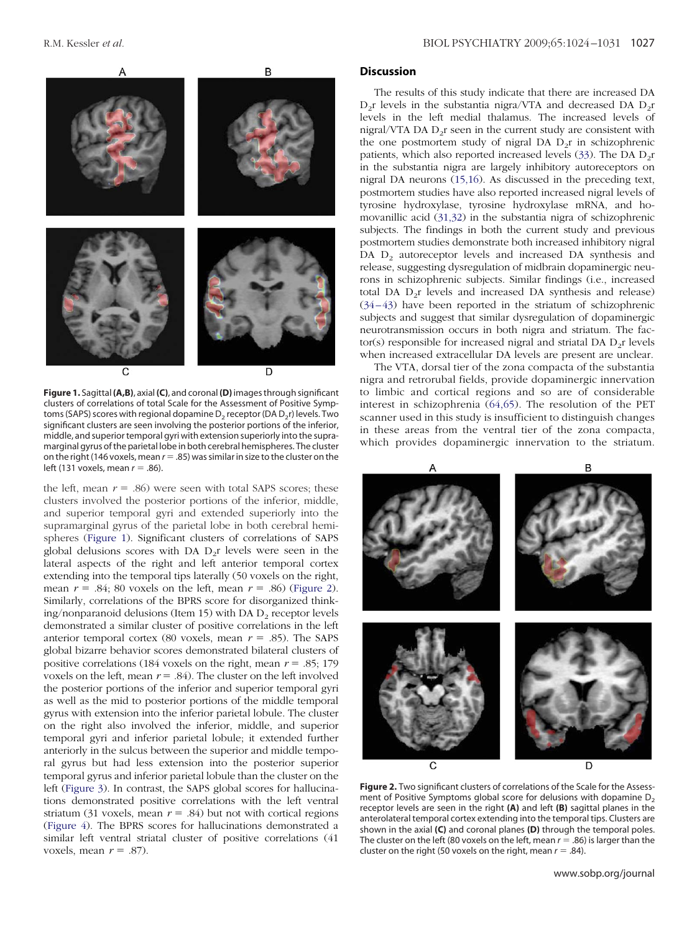

**Figure 1.** Sagittal**(A,B)**, axial**(C)**, and coronal**(D)**images through significant clusters of correlations of total Scale for the Assessment of Positive Symptoms (SAPS) scores with regional dopamine  $D_2$  receptor (DA  $D_2$ r) levels. Two significant clusters are seen involving the posterior portions of the inferior, middle, and superior temporal gyri with extension superiorly into the supramarginal gyrus of the parietal lobe in both cerebral hemispheres. The cluster on the right (146 voxels, mean  $r = .85$ ) was similar in size to the cluster on the left (131 voxels, mean  $r = .86$ ).

the left, mean  $r = .86$ ) were seen with total SAPS scores; these clusters involved the posterior portions of the inferior, middle, and superior temporal gyri and extended superiorly into the supramarginal gyrus of the parietal lobe in both cerebral hemispheres (Figure 1). Significant clusters of correlations of SAPS global delusions scores with DA  $D_2r$  levels were seen in the lateral aspects of the right and left anterior temporal cortex extending into the temporal tips laterally (50 voxels on the right, mean  $r = .84$ ; 80 voxels on the left, mean  $r = .86$ ) (Figure 2). Similarly, correlations of the BPRS score for disorganized thinking/nonparanoid delusions (Item 15) with DA  $D_2$  receptor levels demonstrated a similar cluster of positive correlations in the left anterior temporal cortex (80 voxels, mean  $r = .85$ ). The SAPS global bizarre behavior scores demonstrated bilateral clusters of positive correlations (184 voxels on the right, mean  $r = .85; 179$ voxels on the left, mean  $r = .84$ ). The cluster on the left involved the posterior portions of the inferior and superior temporal gyri as well as the mid to posterior portions of the middle temporal gyrus with extension into the inferior parietal lobule. The cluster on the right also involved the inferior, middle, and superior temporal gyri and inferior parietal lobule; it extended further anteriorly in the sulcus between the superior and middle temporal gyrus but had less extension into the posterior superior temporal gyrus and inferior parietal lobule than the cluster on the left [\(Figure 3\)](#page-4-0). In contrast, the SAPS global scores for hallucinations demonstrated positive correlations with the left ventral striatum (31 voxels, mean  $r = .84$ ) but not with cortical regions [\(Figure 4\)](#page-4-0). The BPRS scores for hallucinations demonstrated a similar left ventral striatal cluster of positive correlations (41 voxels, mean  $r = .87$ ).

## **Discussion**

The results of this study indicate that there are increased DA  $D_2r$  levels in the substantia nigra/VTA and decreased DA  $D_2r$ levels in the left medial thalamus. The increased levels of nigral/VTA DA  $D_2r$  seen in the current study are consistent with the one postmortem study of nigral DA  $D_2r$  in schizophrenic patients, which also reported increased levels [\(33\)](#page-6-0). The DA  $D_2r$ in the substantia nigra are largely inhibitory autoreceptors on nigral DA neurons [\(15,16\)](#page-5-0). As discussed in the preceding text, postmortem studies have also reported increased nigral levels of tyrosine hydroxylase, tyrosine hydroxylase mRNA, and homovanillic acid [\(31,32\)](#page-6-0) in the substantia nigra of schizophrenic subjects. The findings in both the current study and previous postmortem studies demonstrate both increased inhibitory nigral DA  $D_2$  autoreceptor levels and increased DA synthesis and release, suggesting dysregulation of midbrain dopaminergic neurons in schizophrenic subjects. Similar findings (i.e., increased total DA  $D_2r$  levels and increased DA synthesis and release) [\(34 – 43\)](#page-6-0) have been reported in the striatum of schizophrenic subjects and suggest that similar dysregulation of dopaminergic neurotransmission occurs in both nigra and striatum. The factor(s) responsible for increased nigral and striatal DA  $D<sub>2</sub>r$  levels when increased extracellular DA levels are present are unclear.

The VTA, dorsal tier of the zona compacta of the substantia nigra and retrorubal fields, provide dopaminergic innervation to limbic and cortical regions and so are of considerable interest in schizophrenia [\(64,65\)](#page-6-0). The resolution of the PET scanner used in this study is insufficient to distinguish changes in these areas from the ventral tier of the zona compacta, which provides dopaminergic innervation to the striatum.



**Figure 2.** Two significant clusters of correlations of the Scale for the Assessment of Positive Symptoms global score for delusions with dopamine  $D<sub>2</sub>$ receptor levels are seen in the right **(A)** and left **(B)** sagittal planes in the anterolateral temporal cortex extending into the temporal tips. Clusters are shown in the axial **(C)** and coronal planes **(D)** through the temporal poles. The cluster on the left (80 voxels on the left, mean  $r = .86$ ) is larger than the cluster on the right (50 voxels on the right, mean  $r = .84$ ).

www.sobp.org/journal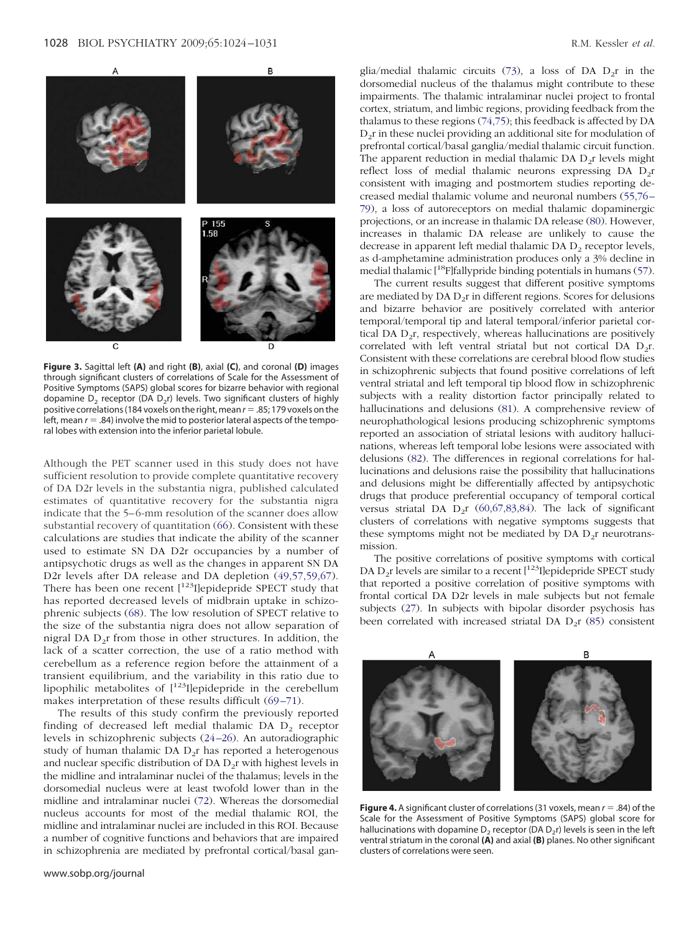<span id="page-4-0"></span>

**Figure 3.** Sagittal left **(A)** and right **(B)**, axial **(C)**, and coronal **(D)** images through significant clusters of correlations of Scale for the Assessment of Positive Symptoms (SAPS) global scores for bizarre behavior with regional dopamine  $D_2$  receptor (DA  $D_2$ r) levels. Two significant clusters of highly positive correlations (184 voxels on the right, mean  $r = .85$ ; 179 voxels on the left, mean  $r = .84$ ) involve the mid to posterior lateral aspects of the temporal lobes with extension into the inferior parietal lobule.

Although the PET scanner used in this study does not have sufficient resolution to provide complete quantitative recovery of DA D2r levels in the substantia nigra, published calculated estimates of quantitative recovery for the substantia nigra indicate that the 5–6-mm resolution of the scanner does allow substantial recovery of quantitation [\(66\)](#page-6-0). Consistent with these calculations are studies that indicate the ability of the scanner used to estimate SN DA D2r occupancies by a number of antipsychotic drugs as well as the changes in apparent SN DA D2r levels after DA release and DA depletion [\(49,57,59,67\)](#page-6-0). There has been one recent  $[$ <sup>123</sup>I]epidepride SPECT study that has reported decreased levels of midbrain uptake in schizophrenic subjects [\(68\)](#page-7-0). The low resolution of SPECT relative to the size of the substantia nigra does not allow separation of nigral DA  $D_2r$  from those in other structures. In addition, the lack of a scatter correction, the use of a ratio method with cerebellum as a reference region before the attainment of a transient equilibrium, and the variability in this ratio due to lipophilic metabolites of  $[1^{23}]$ epidepride in the cerebellum makes interpretation of these results difficult (69–71).

The results of this study confirm the previously reported finding of decreased left medial thalamic DA  $D_2$  receptor levels in schizophrenic subjects [\(24 –26\)](#page-5-0). An autoradiographic study of human thalamic DA  $D_2r$  has reported a heterogenous and nuclear specific distribution of DA  $D_2r$  with highest levels in the midline and intralaminar nuclei of the thalamus; levels in the dorsomedial nucleus were at least twofold lower than in the midline and intralaminar nuclei [\(72\)](#page-7-0). Whereas the dorsomedial nucleus accounts for most of the medial thalamic ROI, the midline and intralaminar nuclei are included in this ROI. Because a number of cognitive functions and behaviors that are impaired in schizophrenia are mediated by prefrontal cortical/basal ganglia/medial thalamic circuits [\(73\)](#page-7-0), a loss of DA  $D_2$ r in the dorsomedial nucleus of the thalamus might contribute to these impairments. The thalamic intralaminar nuclei project to frontal cortex, striatum, and limbic regions, providing feedback from the thalamus to these regions [\(74,75\)](#page-7-0); this feedback is affected by DA  $D<sub>2</sub>r$  in these nuclei providing an additional site for modulation of prefrontal cortical/basal ganglia/medial thalamic circuit function. The apparent reduction in medial thalamic  $DA$   $D_2r$  levels might reflect loss of medial thalamic neurons expressing DA  $D_2r$ consistent with imaging and postmortem studies reporting decreased medial thalamic volume and neuronal numbers [\(55,76 –](#page-6-0) [79\)](#page-6-0), a loss of autoreceptors on medial thalamic dopaminergic projections, or an increase in thalamic DA release [\(80\)](#page-7-0). However, increases in thalamic DA release are unlikely to cause the decrease in apparent left medial thalamic DA  $D<sub>2</sub>$  receptor levels, as d-amphetamine administration produces only a 3% decline in medial thalamic [18F]fallypride binding potentials in humans [\(57\)](#page-6-0).

The current results suggest that different positive symptoms are mediated by  $DA D_2r$  in different regions. Scores for delusions and bizarre behavior are positively correlated with anterior temporal/temporal tip and lateral temporal/inferior parietal cortical DA  $D_2r$ , respectively, whereas hallucinations are positively correlated with left ventral striatal but not cortical DA  $D_2r$ . Consistent with these correlations are cerebral blood flow studies in schizophrenic subjects that found positive correlations of left ventral striatal and left temporal tip blood flow in schizophrenic subjects with a reality distortion factor principally related to hallucinations and delusions [\(81\)](#page-7-0). A comprehensive review of neurophathological lesions producing schizophrenic symptoms reported an association of striatal lesions with auditory hallucinations, whereas left temporal lobe lesions were associated with delusions [\(82\)](#page-7-0). The differences in regional correlations for hallucinations and delusions raise the possibility that hallucinations and delusions might be differentially affected by antipsychotic drugs that produce preferential occupancy of temporal cortical versus striatal DA  $D_2r$  [\(60,67,83,84\)](#page-6-0). The lack of significant clusters of correlations with negative symptoms suggests that these symptoms might not be mediated by  $DA$   $D_{2}r$  neurotransmission.

The positive correlations of positive symptoms with cortical DA  $D_2$ r levels are similar to a recent  $[$ <sup>123</sup>I]epidepride SPECT study that reported a positive correlation of positive symptoms with frontal cortical DA D2r levels in male subjects but not female subjects [\(27\)](#page-6-0). In subjects with bipolar disorder psychosis has been correlated with increased striatal DA  $D_2r$  [\(85\)](#page-7-0) consistent



**Figure 4.** A significant cluster of correlations (31 voxels, mean  $r = .84$ ) of the Scale for the Assessment of Positive Symptoms (SAPS) global score for hallucinations with dopamine  $D_2$  receptor (DA  $D_2$ r) levels is seen in the left ventral striatum in the coronal **(A)** and axial **(B)** planes. No other significant clusters of correlations were seen.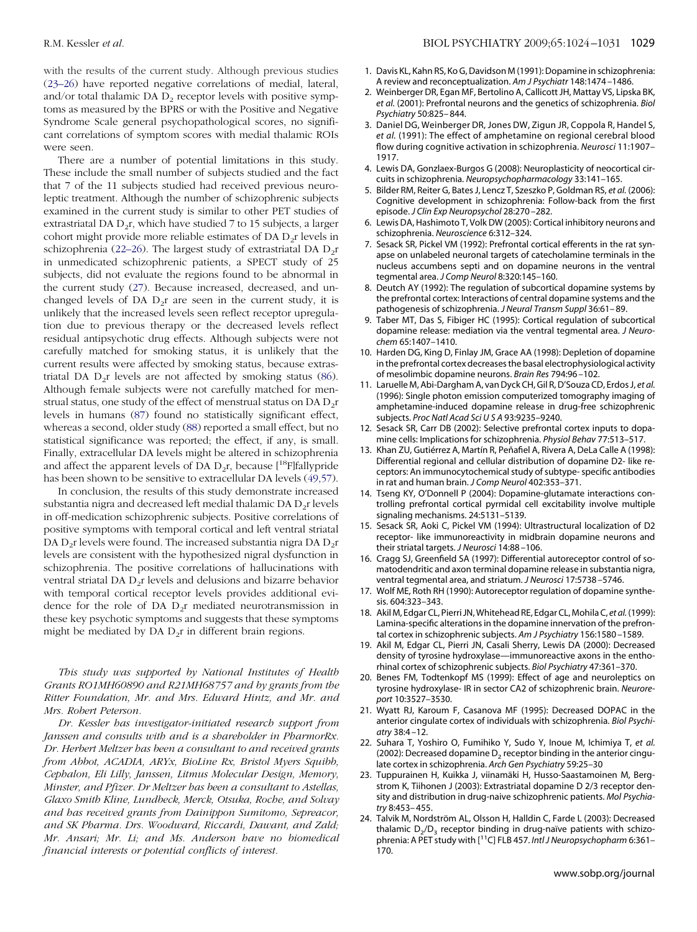<span id="page-5-0"></span>with the results of the current study. Although previous studies (23–26) have reported negative correlations of medial, lateral, and/or total thalamic DA  $D<sub>2</sub>$  receptor levels with positive symptoms as measured by the BPRS or with the Positive and Negative Syndrome Scale general psychopathological scores, no significant correlations of symptom scores with medial thalamic ROIs were seen.

There are a number of potential limitations in this study. These include the small number of subjects studied and the fact that 7 of the 11 subjects studied had received previous neuroleptic treatment. Although the number of schizophrenic subjects examined in the current study is similar to other PET studies of extrastriatal DA  $D_2r$ , which have studied 7 to 15 subjects, a larger cohort might provide more reliable estimates of DA  $D_2$ r levels in schizophrenia (22–26). The largest study of extrastriatal DA  $D_2r$ in unmedicated schizophrenic patients, a SPECT study of 25 subjects, did not evaluate the regions found to be abnormal in the current study [\(27\)](#page-6-0). Because increased, decreased, and unchanged levels of DA  $D_2r$  are seen in the current study, it is unlikely that the increased levels seen reflect receptor upregulation due to previous therapy or the decreased levels reflect residual antipsychotic drug effects. Although subjects were not carefully matched for smoking status, it is unlikely that the current results were affected by smoking status, because extrastriatal DA  $D_2r$  levels are not affected by smoking status [\(86\)](#page-7-0). Although female subjects were not carefully matched for menstrual status, one study of the effect of menstrual status on DA  $D_2r$ levels in humans [\(87\)](#page-7-0) found no statistically significant effect, whereas a second, older study [\(88\)](#page-7-0) reported a small effect, but no statistical significance was reported; the effect, if any, is small. Finally, extracellular DA levels might be altered in schizophrenia and affect the apparent levels of DA  $D_2r$ , because [<sup>18</sup>F]fallypride has been shown to be sensitive to extracellular DA levels [\(49,57\)](#page-6-0).

In conclusion, the results of this study demonstrate increased substantia nigra and decreased left medial thalamic DA  $D_2r$  levels in off-medication schizophrenic subjects. Positive correlations of positive symptoms with temporal cortical and left ventral striatal DA  $D_2r$  levels were found. The increased substantia nigra DA  $D_2r$ levels are consistent with the hypothesized nigral dysfunction in schizophrenia. The positive correlations of hallucinations with ventral striatal DA D<sub>2</sub>r levels and delusions and bizarre behavior with temporal cortical receptor levels provides additional evidence for the role of DA  $D_2r$  mediated neurotransmission in these key psychotic symptoms and suggests that these symptoms might be mediated by DA  $D_2r$  in different brain regions.

*This study was supported by National Institutes of Health Grants RO1MH60890 and R21MH68757 and by grants from the Ritter Foundation, Mr. and Mrs. Edward Hintz, and Mr. and Mrs. Robert Peterson.*

*Dr. Kessler has investigator-initiated research support from Janssen and consults with and is a shareholder in PharmorRx. Dr. Herbert Meltzer has been a consultant to and received grants from Abbot, ACADIA, ARYx, BioLine Rx, Bristol Myers Squibb, Cephalon, Eli Lilly, Janssen, Litmus Molecular Design, Memory, Minster, and Pfizer. Dr Meltzer has been a consultant to Astellas, Glaxo Smith Kline, Lundbeck, Merck, Otsuka, Roche, and Solvay and has received grants from Dainippon Sumitomo, Sepreacor, and SK Pharma. Drs. Woodward, Riccardi, Dawant, and Zald; Mr. Ansari; Mr. Li; and Ms. Anderson have no biomedical financial interests or potential conflicts of interest.*

- 1. Davis KL, Kahn RS, Ko G, Davidson M (1991): Dopamine in schizophrenia: A review and reconceptualization. *Am J Psychiatr* 148:1474 –1486.
- 2. Weinberger DR, Egan MF, Bertolino A, Callicott JH, Mattay VS, Lipska BK, *et al.* (2001): Prefrontal neurons and the genetics of schizophrenia. *Biol Psychiatry* 50:825– 844.
- 3. Daniel DG, Weinberger DR, Jones DW, Zigun JR, Coppola R, Handel S, *et al.* (1991): The effect of amphetamine on regional cerebral blood flow during cognitive activation in schizophrenia. *Neurosci* 11:1907– 1917.
- 4. Lewis DA, Gonzlaex-Burgos G (2008): Neuroplasticity of neocortical circuits in schizophrenia. *Neuropsychopharmacology* 33:141–165.
- 5. Bilder RM, Reiter G, Bates J, Lencz T, Szeszko P, Goldman RS, *et al.* (2006): Cognitive development in schizophrenia: Follow-back from the first episode. *J Clin Exp Neuropsychol* 28:270 –282.
- 6. Lewis DA, Hashimoto T, Volk DW (2005): Cortical inhibitory neurons and schizophrenia. *Neuroscience* 6:312–324.
- 7. Sesack SR, Pickel VM (1992): Prefrontal cortical efferents in the rat synapse on unlabeled neuronal targets of catecholamine terminals in the nucleus accumbens septi and on dopamine neurons in the ventral tegmental area. *J Comp Neurol* 8:320:145–160.
- 8. Deutch AY (1992): The regulation of subcortical dopamine systems by the prefrontal cortex: Interactions of central dopamine systems and the pathogenesis of schizophrenia. *J Neural Transm Suppl* 36:61– 89.
- 9. Taber MT, Das S, Fibiger HC (1995): Cortical regulation of subcortical dopamine release: mediation via the ventral tegmental area. *J Neurochem* 65:1407–1410.
- 10. Harden DG, King D, Finlay JM, Grace AA (1998): Depletion of dopamine in the prefrontal cortex decreases the basal electrophysiological activity of mesolimbic dopamine neurons. *Brain Res* 794:96 –102.
- 11. Laruelle M, Abi-Dargham A, van Dyck CH, Gil R, D'Souza CD, Erdos J, *et al.* (1996): Single photon emission computerized tomography imaging of amphetamine-induced dopamine release in drug-free schizophrenic subjects. *Proc Natl Acad SciUSA* 93:9235–9240.
- 12. Sesack SR, Carr DB (2002): Selective prefrontal cortex inputs to dopamine cells: Implications for schizophrenia. *Physiol Behav* 77:513–517.
- 13. Khan ZU, Gutiérrez A, Martín R, Peňafiel A, Rivera A, DeLa Calle A (1998): Differential regional and cellular distribution of dopamine D2- like receptors: An immunocytochemical study of subtype- specific antibodies in rat and human brain. *J Comp Neurol* 402:353–371.
- 14. Tseng KY, O'Donnell P (2004): Dopamine-glutamate interactions controlling prefrontal cortical pyrmidal cell excitability involve multiple signaling mechanisms. 24:5131–5139.
- 15. Sesack SR, Aoki C, Pickel VM (1994): Ultrastructural localization of D2 receptor- like immunoreactivity in midbrain dopamine neurons and their striatal targets. *J Neurosci* 14:88 –106.
- 16. Cragg SJ, Greenfield SA (1997): Differential autoreceptor control of somatodendritic and axon terminal dopamine release in substantia nigra, ventral tegmental area, and striatum. *J Neurosci* 17:5738 –5746.
- 17. Wolf ME, Roth RH (1990): Autoreceptor regulation of dopamine synthesis. 604:323–343.
- 18. Akil M, Edgar CL, Pierri JN,Whitehead RE, Edgar CL, Mohila C, *et al.*(1999): Lamina-specific alterations in the dopamine innervation of the prefrontal cortex in schizophrenic subjects. *Am J Psychiatry* 156:1580 –1589.
- 19. Akil M, Edgar CL, Pierri JN, Casali Sherry, Lewis DA (2000): Decreased density of tyrosine hydroxylase—immunoreactive axons in the enthorhinal cortex of schizophrenic subjects. *Biol Psychiatry* 47:361–370.
- 20. Benes FM, Todtenkopf MS (1999): Effect of age and neuroleptics on tyrosine hydroxylase- IR in sector CA2 of schizophrenic brain. *Neuroreport* 10:3527–3530.
- 21. Wyatt RJ, Karoum F, Casanova MF (1995): Decreased DOPAC in the anterior cingulate cortex of individuals with schizophrenia. *Biol Psychiatry* 38:4 –12.
- 22. Suhara T, Yoshiro O, Fumihiko Y, Sudo Y, Inoue M, Ichimiya T, *et al.* (2002): Decreased dopamine  $D<sub>2</sub>$  receptor binding in the anterior cingulate cortex in schizophrenia. *Arch Gen Psychiatry* 59:25–30
- 23. Tuppurainen H, Kuikka J, viinamäki H, Husso-Saastamoinen M, Bergstrom K, Tiihonen J (2003): Extrastriatal dopamine D 2/3 receptor density and distribution in drug-naive schizophrenic patients. *Mol Psychiatry* 8:453– 455.
- 24. Talvik M, Nordström AL, Olsson H, Halldin C, Farde L (2003): Decreased thalamic  $D_2/D_3$  receptor binding in drug-naïve patients with schizophrenia: A PET study with [11C] FLB 457. *Intl J Neuropsychopharm* 6:361– 170.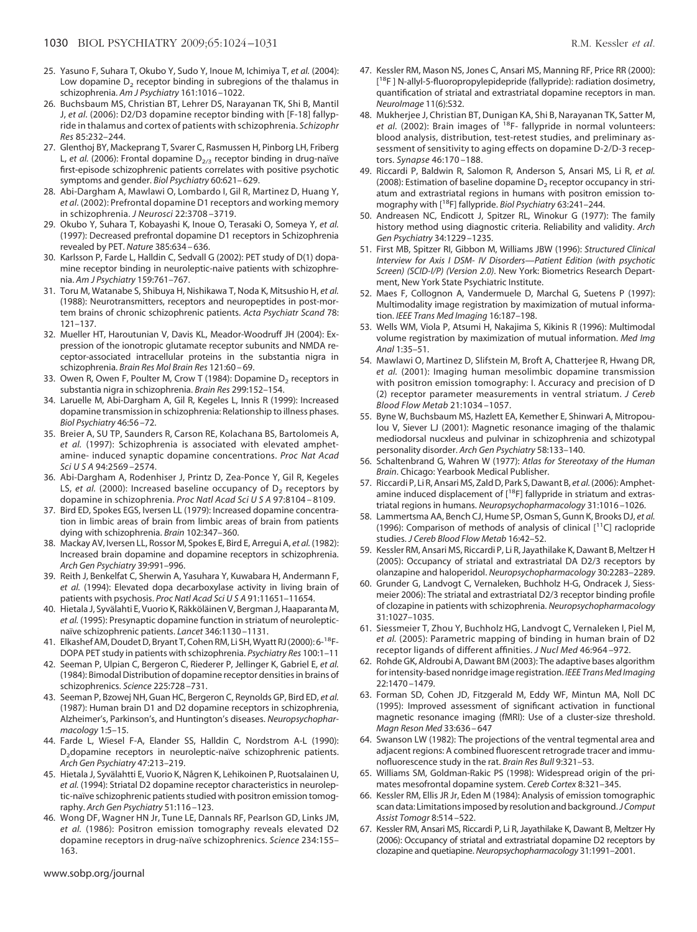- <span id="page-6-0"></span>25. Yasuno F, Suhara T, Okubo Y, Sudo Y, Inoue M, Ichimiya T, *et al.* (2004): Low dopamine  $D<sub>2</sub>$  receptor binding in subregions of the thalamus in schizophrenia. *Am J Psychiatry* 161:1016 –1022.
- 26. Buchsbaum MS, Christian BT, Lehrer DS, Narayanan TK, Shi B, Mantil J, *et al.* (2006): D2/D3 dopamine receptor binding with [F-18] fallypride in thalamus and cortex of patients with schizophrenia. *Schizophr Res* 85:232–244.
- 27. Glenthoj BY, Mackeprang T, Svarer C, Rasmussen H, Pinborg LH, Friberg L, et al. (2006): Frontal dopamine D<sub>2/3</sub> receptor binding in drug-naïve first-episode schizophrenic patients correlates with positive psychotic symptoms and gender. *Biol Psychiatry* 60:621– 629.
- 28. Abi-Dargham A, Mawlawi O, Lombardo I, Gil R, Martinez D, Huang Y, *et al.* (2002): Prefrontal dopamine D1 receptors and working memory in schizophrenia. *J Neurosci* 22:3708 –3719.
- 29. Okubo Y, Suhara T, Kobayashi K, Inoue O, Terasaki O, Someya Y, *et al.* (1997): Decreased prefrontal dopamine D1 receptors in Schizophrenia revealed by PET. *Nature* 385:634 – 636.
- 30. Karlsson P, Farde L, Halldin C, Sedvall G (2002): PET study of D(1) dopamine receptor binding in neuroleptic-naive patients with schizophrenia. *Am J Psychiatry* 159:761–767.
- 31. Toru M, Watanabe S, Shibuya H, Nishikawa T, Noda K, Mitsushio H, *et al.* (1988): Neurotransmitters, receptors and neuropeptides in post-mortem brains of chronic schizophrenic patients. *Acta Psychiatr Scand* 78: 121–137.
- 32. Mueller HT, Haroutunian V, Davis KL, Meador-Woodruff JH (2004): Expression of the ionotropic glutamate receptor subunits and NMDA receptor-associated intracellular proteins in the substantia nigra in schizophrenia. *Brain Res Mol Brain Res* 121:60 – 69.
- 33. Owen R, Owen F, Poulter M, Crow T (1984): Dopamine  $D_2$  receptors in substantia nigra in schizophrenia. *Brain Res* 299:152–154.
- 34. Laruelle M, Abi-Dargham A, Gil R, Kegeles L, Innis R (1999): Increased dopamine transmission in schizophrenia: Relationship to illness phases. *Biol Psychiatry* 46:56 –72.
- 35. Breier A, SU TP, Saunders R, Carson RE, Kolachana BS, Bartolomeis A, *et al.* (1997): Schizophrenia is associated with elevated amphetamine- induced synaptic dopamine concentrations. *Proc Nat Acad Sci U S A* 94:2569 –2574.
- 36. Abi-Dargham A, Rodenhiser J, Printz D, Zea-Ponce Y, Gil R, Kegeles LS, *et al.* (2000): Increased baseline occupancy of  $D_2$  receptors by dopamine in schizophrenia. *Proc Natl Acad SciUSA* 97:8104 – 8109.
- 37. Bird ED, Spokes EGS, Iversen LL (1979): Increased dopamine concentration in limbic areas of brain from limbic areas of brain from patients dying with schizophrenia. *Brain* 102:347–360.
- 38. Mackay AV, Iversen LL, Rossor M, Spokes E, Bird E, Arregui A, *et al.* (1982): Increased brain dopamine and dopamine receptors in schizophrenia. *Arch Gen Psychiatry* 39:991–996.
- 39. Reith J, Benkelfat C, Sherwin A, Yasuhara Y, Kuwabara H, Andermann F, *et al.* (1994): Elevated dopa decarboxylase activity in living brain of patients with psychosis. *Proc Natl Acad SciUSA* 91:11651–11654.
- 40. Hietala J, Syvälahti E, Vuorio K, Räkköläinen V, Bergman J, Haaparanta M, *et al.* (1995): Presynaptic dopamine function in striatum of neurolepticnaïve schizophrenic patients. *Lancet* 346:1130 –1131.
- 41. Elkashef AM, Doudet D, Bryant T, Cohen RM, Li SH, Wyatt RJ (2000): 6-<sup>18</sup>F-DOPA PET study in patients with schizophrenia. *Psychiatry Res* 100:1–11
- 42. Seeman P, Ulpian C, Bergeron C, Riederer P, Jellinger K, Gabriel E, *et al.* (1984): Bimodal Distribution of dopamine receptor densities in brains of schizophrenics. *Science* 225:728 –731.
- 43. Seeman P, Bzowej NH, Guan HC, Bergeron C, Reynolds GP, Bird ED, *et al.* (1987): Human brain D1 and D2 dopamine receptors in schizophrenia, Alzheimer's, Parkinson's, and Huntington's diseases. *Neuropsychopharmacology* 1:5–15.
- 44. Farde L, Wiesel F-A, Elander SS, Halldin C, Nordstrom A-L (1990): D<sub>2</sub>dopamine receptors in neuroleptic-naïve schizophrenic patients. *Arch Gen Psychiatry* 47:213–219.
- 45. Hietala J, Syvälahtti E, Vuorio K, Någren K, Lehikoinen P, Ruotsalainen U, *et al.* (1994): Striatal D2 dopamine receptor characteristics in neuroleptic-naïve schizophrenic patients studied with positron emission tomography. *Arch Gen Psychiatry* 51:116 –123.
- 46. Wong DF, Wagner HN Jr, Tune LE, Dannals RF, Pearlson GD, Links JM, *et al.* (1986): Positron emission tomography reveals elevated D2 dopamine receptors in drug-naïve schizophrenics. *Science* 234:155– 163.
- 47. Kessler RM, Mason NS, Jones C, Ansari MS, Manning RF, Price RR (2000): [<sup>18</sup>F] N-allyl-5-fluoropropylepidepride (fallypride): radiation dosimetry, quantification of striatal and extrastriatal dopamine receptors in man. *NeuroImage* 11(6):S32.
- 48. Mukherjee J, Christian BT, Dunigan KA, Shi B, Narayanan TK, Satter M, et al. (2002): Brain images of <sup>18</sup>F- fallypride in normal volunteers: blood analysis, distribution, test-retest studies, and preliminary assessment of sensitivity to aging effects on dopamine D-2/D-3 receptors. *Synapse* 46:170 –188.
- 49. Riccardi P, Baldwin R, Salomon R, Anderson S, Ansari MS, Li R, *et al.* (2008): Estimation of baseline dopamine  $D_2$  receptor occupancy in striatum and extrastriatal regions in humans with positron emission tomography with [18F] fallypride. *Biol Psychiatry* 63:241–244.
- 50. Andreasen NC, Endicott J, Spitzer RL, Winokur G (1977): The family history method using diagnostic criteria. Reliability and validity. *Arch Gen Psychiatry* 34:1229 –1235.
- 51. First MB, Spitzer RI, Gibbon M, Williams JBW (1996): *Structured Clinical Interview for Axis I DSM- IV Disorders—Patient Edition (with psychotic Screen) (SCID-I/P) (Version 2.0)*. New York: Biometrics Research Department, New York State Psychiatric Institute.
- 52. Maes F, Collognon A, Vandermuele D, Marchal G, Suetens P (1997): Multimodality image registration by maximization of mutual information. *IEEE Trans Med Imaging* 16:187–198.
- 53. Wells WM, Viola P, Atsumi H, Nakajima S, Kikinis R (1996): Multimodal volume registration by maximization of mutual information. *Med Img Anal* 1:35–51.
- 54. Mawlawi O, Martinez D, Slifstein M, Broft A, Chatterjee R, Hwang DR, *et al.* (2001): Imaging human mesolimbic dopamine transmission with positron emission tomography: I. Accuracy and precision of D (2) receptor parameter measurements in ventral striatum. *J Cereb Blood Flow Metab* 21:1034 –1057.
- 55. Byne W, Buchsbaum MS, Hazlett EA, Kemether E, Shinwari A, Mitropoulou V, Siever LJ (2001): Magnetic resonance imaging of the thalamic mediodorsal nucxleus and pulvinar in schizophrenia and schizotypal personality disorder. *Arch Gen Psychiatry* 58:133–140.
- 56. Schaltenbrand G, Wahren W (1977): *Atlas for Stereotaxy of the Human Brain*. Chicago: Yearbook Medical Publisher.
- 57. Riccardi P, Li R, Ansari MS, Zald D, Park S, Dawant B, *et al.* (2006): Amphetamine induced displacement of  $[18F]$  fallypride in striatum and extrastriatal regions in humans. *Neuropsychopharmacology* 31:1016 –1026.
- 58. Lammertsma AA, Bench CJ, Hume SP, Osman S, Gunn K, Brooks DJ, *et al.* (1996): Comparison of methods of analysis of clinical  $[$ <sup>11</sup>C] raclopride studies. *J Cereb Blood Flow Metab* 16:42–52.
- 59. Kessler RM, Ansari MS, Riccardi P, Li R, Jayathilake K, Dawant B, Meltzer H (2005): Occupancy of striatal and extrastriatal DA D2/3 receptors by olanzapine and haloperidol. *Neuropsychopharmacology* 30:2283–2289.
- 60. Grunder G, Landvogt C, Vernaleken, Buchholz H-G, Ondracek J, Siessmeier 2006): The striatal and extrastriatal D2/3 receptor binding profile of clozapine in patients with schizophrenia. *Neuropsychopharmacology* 31:1027–1035.
- 61. Siessmeier T, Zhou Y, Buchholz HG, Landvogt C, Vernaleken I, Piel M, *et al.* (2005): Parametric mapping of binding in human brain of D2 receptor ligands of different affinities. *J Nucl Med* 46:964 –972.
- 62. Rohde GK, Aldroubi A, Dawant BM (2003): The adaptive bases algorithm for intensity-based nonridge image registration. *IEEE Trans Med Imaging* 22:1470 –1479.
- 63. Forman SD, Cohen JD, Fitzgerald M, Eddy WF, Mintun MA, Noll DC (1995): Improved assessment of significant activation in functional magnetic resonance imaging (fMRI): Use of a cluster-size threshold. *Magn Reson Med* 33:636 – 647
- 64. Swanson LW (1982): The projections of the ventral tegmental area and adjacent regions: A combined fluorescent retrograde tracer and immunofluorescence study in the rat. *Brain Res Bull* 9:321–53.
- 65. Williams SM, Goldman-Rakic PS (1998): Widespread origin of the primates mesofrontal dopamine system. *Cereb Cortex* 8:321–345.
- 66. Kessler RM, Ellis JR Jr, Eden M (1984): Analysis of emission tomographic scan data: Limitations imposed by resolution and background.*J Comput Assist Tomogr* 8:514 –522.
- 67. Kessler RM, Ansari MS, Riccardi P, Li R, Jayathilake K, Dawant B, Meltzer Hy (2006): Occupancy of striatal and extrastriatal dopamine D2 receptors by clozapine and quetiapine. *Neuropsychopharmacology* 31:1991–2001.